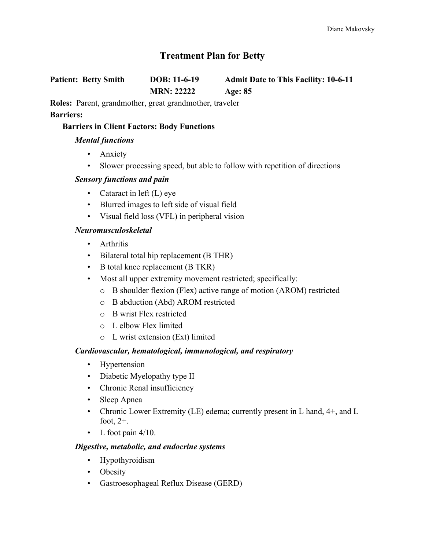# **Treatment Plan for Betty**

**Patient: Betty Smith DOB: 11-6-19 Admit Date to This Facility: 10-6-11 MRN: 22222 Age: 85**

**Roles:** Parent, grandmother, great grandmother, traveler **Barriers:**

### **Barriers in Client Factors: Body Functions**

### *Mental functions*

- Anxiety
- Slower processing speed, but able to follow with repetition of directions

### *Sensory functions and pain*

- Cataract in left (L) eye
- Blurred images to left side of visual field
- Visual field loss (VFL) in peripheral vision

### *Neuromusculoskeletal*

- Arthritis
- Bilateral total hip replacement (B THR)
- B total knee replacement (B TKR)
- Most all upper extremity movement restricted; specifically:
	- o B shoulder flexion (Flex) active range of motion (AROM) restricted
	- o B abduction (Abd) AROM restricted
	- o B wrist Flex restricted
	- o L elbow Flex limited
	- o L wrist extension (Ext) limited

### *Cardiovascular, hematological, immunological, and respiratory*

- Hypertension
- Diabetic Myelopathy type II
- Chronic Renal insufficiency
- Sleep Apnea
- Chronic Lower Extremity (LE) edema; currently present in L hand, 4+, and L foot, 2+.
- L foot pain  $4/10$ .

#### *Digestive, metabolic, and endocrine systems*

- Hypothyroidism
- Obesity
- Gastroesophageal Reflux Disease (GERD)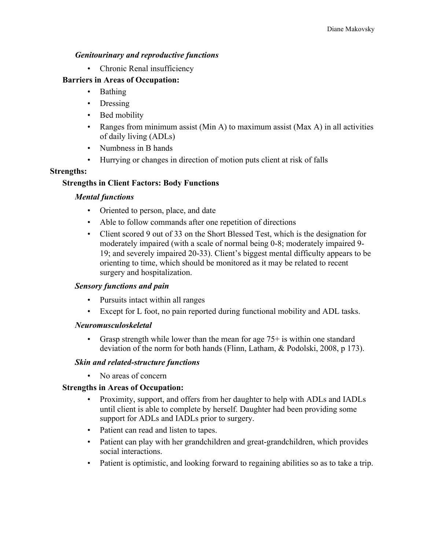### *Genitourinary and reproductive functions*

• Chronic Renal insufficiency

### **Barriers in Areas of Occupation:**

- Bathing
- Dressing
- Bed mobility
- Ranges from minimum assist (Min A) to maximum assist (Max A) in all activities of daily living (ADLs)
- Numbness in B hands
- Hurrying or changes in direction of motion puts client at risk of falls

### **Strengths:**

### **Strengths in Client Factors: Body Functions**

### *Mental functions*

- Oriented to person, place, and date
- Able to follow commands after one repetition of directions
- Client scored 9 out of 33 on the Short Blessed Test, which is the designation for moderately impaired (with a scale of normal being 0-8; moderately impaired 9- 19; and severely impaired 20-33). Client's biggest mental difficulty appears to be orienting to time, which should be monitored as it may be related to recent surgery and hospitalization.

### *Sensory functions and pain*

- Pursuits intact within all ranges
- Except for L foot, no pain reported during functional mobility and ADL tasks.

### *Neuromusculoskeletal*

• Grasp strength while lower than the mean for age  $75+$  is within one standard deviation of the norm for both hands (Flinn, Latham, & Podolski, 2008, p 173).

### *Skin and related-structure functions*

• No areas of concern

### **Strengths in Areas of Occupation:**

- Proximity, support, and offers from her daughter to help with ADLs and IADLs until client is able to complete by herself. Daughter had been providing some support for ADLs and IADLs prior to surgery.
- Patient can read and listen to tapes.
- Patient can play with her grandchildren and great-grandchildren, which provides social interactions.
- Patient is optimistic, and looking forward to regaining abilities so as to take a trip.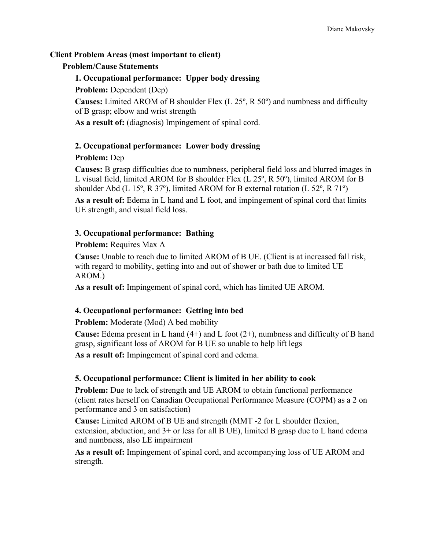### **Client Problem Areas (most important to client)**

### **Problem/Cause Statements**

## **1. Occupational performance: Upper body dressing**

### **Problem:** Dependent (Dep)

**Causes:** Limited AROM of B shoulder Flex (L 25º, R 50º) and numbness and difficulty of B grasp; elbow and wrist strength

**As a result of:** (diagnosis) Impingement of spinal cord.

### **2. Occupational performance: Lower body dressing**

### **Problem:** Dep

**Causes:** B grasp difficulties due to numbness, peripheral field loss and blurred images in L visual field, limited AROM for B shoulder Flex (L 25º, R 50º), limited AROM for B shoulder Abd (L 15 $^{\circ}$ , R 37 $^{\circ}$ ), limited AROM for B external rotation (L 52 $^{\circ}$ , R 71 $^{\circ}$ )

**As a result of:** Edema in L hand and L foot, and impingement of spinal cord that limits UE strength, and visual field loss.

### **3. Occupational performance: Bathing**

### **Problem:** Requires Max A

**Cause:** Unable to reach due to limited AROM of B UE. (Client is at increased fall risk, with regard to mobility, getting into and out of shower or bath due to limited UE AROM.)

**As a result of:** Impingement of spinal cord, which has limited UE AROM.

### **4. Occupational performance: Getting into bed**

**Problem:** Moderate (Mod) A bed mobility

**Cause:** Edema present in L hand (4+) and L foot (2+), numbness and difficulty of B hand grasp, significant loss of AROM for B UE so unable to help lift legs

**As a result of:** Impingement of spinal cord and edema.

### **5. Occupational performance: Client is limited in her ability to cook**

**Problem:** Due to lack of strength and UE AROM to obtain functional performance (client rates herself on Canadian Occupational Performance Measure (COPM) as a 2 on performance and 3 on satisfaction)

**Cause:** Limited AROM of B UE and strength (MMT -2 for L shoulder flexion, extension, abduction, and 3+ or less for all B UE), limited B grasp due to L hand edema and numbness, also LE impairment

**As a result of:** Impingement of spinal cord, and accompanying loss of UE AROM and strength.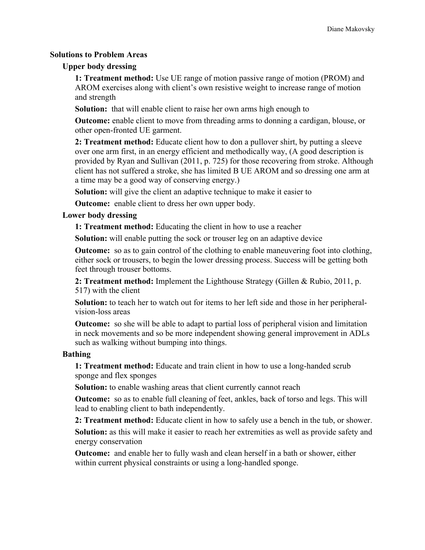#### **Solutions to Problem Areas**

#### **Upper body dressing**

**1: Treatment method:** Use UE range of motion passive range of motion (PROM) and AROM exercises along with client's own resistive weight to increase range of motion and strength

**Solution:** that will enable client to raise her own arms high enough to

**Outcome:** enable client to move from threading arms to donning a cardigan, blouse, or other open-fronted UE garment.

**2: Treatment method:** Educate client how to don a pullover shirt, by putting a sleeve over one arm first, in an energy efficient and methodically way, (A good description is provided by Ryan and Sullivan (2011, p. 725) for those recovering from stroke. Although client has not suffered a stroke, she has limited B UE AROM and so dressing one arm at a time may be a good way of conserving energy.)

**Solution:** will give the client an adaptive technique to make it easier to

**Outcome:** enable client to dress her own upper body.

### **Lower body dressing**

**1: Treatment method:** Educating the client in how to use a reacher

**Solution:** will enable putting the sock or trouser leg on an adaptive device

**Outcome:** so as to gain control of the clothing to enable maneuvering foot into clothing, either sock or trousers, to begin the lower dressing process. Success will be getting both feet through trouser bottoms.

**2: Treatment method:** Implement the Lighthouse Strategy (Gillen & Rubio, 2011, p. 517) with the client

**Solution:** to teach her to watch out for items to her left side and those in her peripheralvision-loss areas

**Outcome:** so she will be able to adapt to partial loss of peripheral vision and limitation in neck movements and so be more independent showing general improvement in ADLs such as walking without bumping into things.

#### **Bathing**

**1: Treatment method:** Educate and train client in how to use a long-handed scrub sponge and flex sponges

**Solution:** to enable washing areas that client currently cannot reach

**Outcome:** so as to enable full cleaning of feet, ankles, back of torso and legs. This will lead to enabling client to bath independently.

**2: Treatment method:** Educate client in how to safely use a bench in the tub, or shower.

**Solution:** as this will make it easier to reach her extremities as well as provide safety and energy conservation

**Outcome:** and enable her to fully wash and clean herself in a bath or shower, either within current physical constraints or using a long-handled sponge.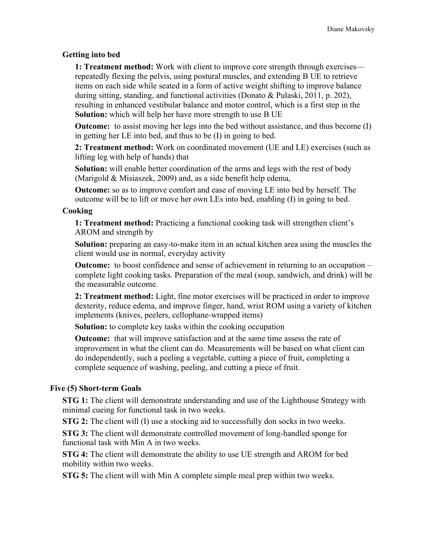#### **Getting into bed**

**1: Treatment method:** Work with client to improve core strength through exercises repeatedly flexing the pelvis, using postural muscles, and extending B UE to retrieve items on each side while seated in a form of active weight shifting to improve balance during sitting, standing, and functional activities (Donato & Pulaski, 2011, p. 202), resulting in enhanced vestibular balance and motor control, which is a first step in the **Solution:** which will help her have more strength to use B UE

**Outcome:** to assist moving her legs into the bed without assistance, and thus become (I) in getting her LE into bed, and thus to be (I) in going to bed.

**2: Treatment method:** Work on coordinated movement (UE and LE) exercises (such as lifting leg with help of hands) that

**Solution:** will enable better coordination of the arms and legs with the rest of body (Marigold & Misiaszek, 2009) and, as a side benefit help edema,

**Outcome:** so as to improve comfort and ease of moving LE into bed by herself. The outcome will be to lift or move her own LEs into bed, enabling (I) in going to bed.

#### **Cooking**

**1: Treatment method:** Practicing a functional cooking task will strengthen client's AROM and strength by

**Solution:** preparing an easy-to-make item in an actual kitchen area using the muscles the client would use in normal, everyday activity

**Outcome:** to boost confidence and sense of achievement in returning to an occupation – complete light cooking tasks. Preparation of the meal (soup, sandwich, and drink) will be the measurable outcome.

**2: Treatment method:** Light, fine motor exercises will be practiced in order to improve dexterity, reduce edema, and improve finger, hand, wrist ROM using a variety of kitchen implements (knives, peelers, cellophane-wrapped items)

**Solution:** to complete key tasks within the cooking occupation

**Outcome:** that will improve satisfaction and at the same time assess the rate of improvement in what the client can do. Measurements will be based on what client can do independently, such a peeling a vegetable, cutting a piece of fruit, completing a complete sequence of washing, peeling, and cutting a piece of fruit.

#### **Five (5) Short-term Goals**

**STG 1:** The client will demonstrate understanding and use of the Lighthouse Strategy with minimal cueing for functional task in two weeks.

**STG 2:** The client will (I) use a stocking aid to successfully don socks in two weeks.

**STG 3:** The client will demonstrate controlled movement of long-handled sponge for functional task with Min A in two weeks.

**STG 4:** The client will demonstrate the ability to use UE strength and AROM for bed mobility within two weeks.

**STG 5:** The client will with Min A complete simple meal prep within two weeks.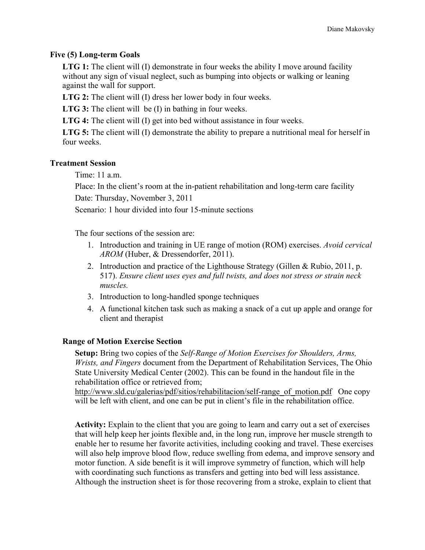#### **Five (5) Long-term Goals**

**LTG 1:** The client will (I) demonstrate in four weeks the ability I move around facility without any sign of visual neglect, such as bumping into objects or walking or leaning against the wall for support.

**LTG 2:** The client will (I) dress her lower body in four weeks.

**LTG 3:** The client will be (I) in bathing in four weeks.

**LTG 4:** The client will (I) get into bed without assistance in four weeks.

**LTG 5:** The client will (I) demonstrate the ability to prepare a nutritional meal for herself in four weeks.

#### **Treatment Session**

Time:  $11a$  m

Place: In the client's room at the in-patient rehabilitation and long-term care facility

Date: Thursday, November 3, 2011

Scenario: 1 hour divided into four 15-minute sections

The four sections of the session are:

- 1. Introduction and training in UE range of motion (ROM) exercises. *Avoid cervical AROM* (Huber, & Dressendorfer, 2011).
- 2. Introduction and practice of the Lighthouse Strategy (Gillen & Rubio, 2011, p. 517). *Ensure client uses eyes and full twists, and does not stress or strain neck muscles.*
- 3. Introduction to long-handled sponge techniques
- 4. A functional kitchen task such as making a snack of a cut up apple and orange for client and therapist

#### **Range of Motion Exercise Section**

**Setup:** Bring two copies of the *Self-Range of Motion Exercises for Shoulders, Arms, Wrists, and Fingers* document from the Department of Rehabilitation Services, The Ohio State University Medical Center (2002). This can be found in the handout file in the rehabilitation office or retrieved from;

http://www.sld.cu/galerias/pdf/sitios/rehabilitacion/self-range\_of\_motion.pdf One copy will be left with client, and one can be put in client's file in the rehabilitation office.

**Activity:** Explain to the client that you are going to learn and carry out a set of exercises that will help keep her joints flexible and, in the long run, improve her muscle strength to enable her to resume her favorite activities, including cooking and travel. These exercises will also help improve blood flow, reduce swelling from edema, and improve sensory and motor function. A side benefit is it will improve symmetry of function, which will help with coordinating such functions as transfers and getting into bed will less assistance. Although the instruction sheet is for those recovering from a stroke, explain to client that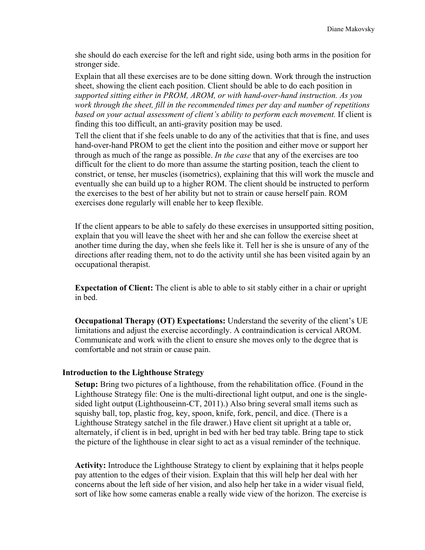she should do each exercise for the left and right side, using both arms in the position for stronger side.

Explain that all these exercises are to be done sitting down. Work through the instruction sheet, showing the client each position. Client should be able to do each position in *supported sitting either in PROM, AROM, or with hand-over-hand instruction. As you work through the sheet, fill in the recommended times per day and number of repetitions based on your actual assessment of client's ability to perform each movement.* If client is finding this too difficult, an anti-gravity position may be used.

Tell the client that if she feels unable to do any of the activities that that is fine, and uses hand-over-hand PROM to get the client into the position and either move or support her through as much of the range as possible. *In the case* that any of the exercises are too difficult for the client to do more than assume the starting position, teach the client to constrict, or tense, her muscles (isometrics), explaining that this will work the muscle and eventually she can build up to a higher ROM. The client should be instructed to perform the exercises to the best of her ability but not to strain or cause herself pain. ROM exercises done regularly will enable her to keep flexible.

If the client appears to be able to safely do these exercises in unsupported sitting position, explain that you will leave the sheet with her and she can follow the exercise sheet at another time during the day, when she feels like it. Tell her is she is unsure of any of the directions after reading them, not to do the activity until she has been visited again by an occupational therapist.

**Expectation of Client:** The client is able to able to sit stably either in a chair or upright in bed.

**Occupational Therapy (OT) Expectations:** Understand the severity of the client's UE limitations and adjust the exercise accordingly. A contraindication is cervical AROM. Communicate and work with the client to ensure she moves only to the degree that is comfortable and not strain or cause pain.

#### **Introduction to the Lighthouse Strategy**

**Setup:** Bring two pictures of a lighthouse, from the rehabilitation office. (Found in the Lighthouse Strategy file: One is the multi-directional light output, and one is the singlesided light output (Lighthouseinn-CT, 2011).) Also bring several small items such as squishy ball, top, plastic frog, key, spoon, knife, fork, pencil, and dice. (There is a Lighthouse Strategy satchel in the file drawer.) Have client sit upright at a table or, alternately, if client is in bed, upright in bed with her bed tray table. Bring tape to stick the picture of the lighthouse in clear sight to act as a visual reminder of the technique.

**Activity:** Introduce the Lighthouse Strategy to client by explaining that it helps people pay attention to the edges of their vision. Explain that this will help her deal with her concerns about the left side of her vision, and also help her take in a wider visual field, sort of like how some cameras enable a really wide view of the horizon. The exercise is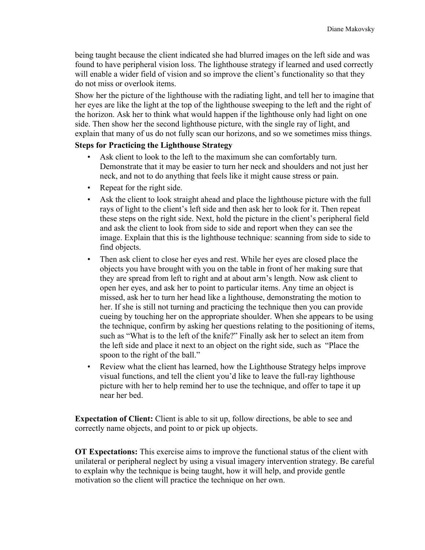being taught because the client indicated she had blurred images on the left side and was found to have peripheral vision loss. The lighthouse strategy if learned and used correctly will enable a wider field of vision and so improve the client's functionality so that they do not miss or overlook items.

Show her the picture of the lighthouse with the radiating light, and tell her to imagine that her eyes are like the light at the top of the lighthouse sweeping to the left and the right of the horizon. Ask her to think what would happen if the lighthouse only had light on one side. Then show her the second lighthouse picture, with the single ray of light, and explain that many of us do not fully scan our horizons, and so we sometimes miss things.

### **Steps for Practicing the Lighthouse Strategy**

- Ask client to look to the left to the maximum she can comfortably turn. Demonstrate that it may be easier to turn her neck and shoulders and not just her neck, and not to do anything that feels like it might cause stress or pain.
- Repeat for the right side.
- Ask the client to look straight ahead and place the lighthouse picture with the full rays of light to the client's left side and then ask her to look for it. Then repeat these steps on the right side. Next, hold the picture in the client's peripheral field and ask the client to look from side to side and report when they can see the image. Explain that this is the lighthouse technique: scanning from side to side to find objects.
- Then ask client to close her eyes and rest. While her eyes are closed place the objects you have brought with you on the table in front of her making sure that they are spread from left to right and at about arm's length. Now ask client to open her eyes, and ask her to point to particular items. Any time an object is missed, ask her to turn her head like a lighthouse, demonstrating the motion to her. If she is still not turning and practicing the technique then you can provide cueing by touching her on the appropriate shoulder. When she appears to be using the technique, confirm by asking her questions relating to the positioning of items, such as "What is to the left of the knife?" Finally ask her to select an item from the left side and place it next to an object on the right side, such as "Place the spoon to the right of the ball."
- Review what the client has learned, how the Lighthouse Strategy helps improve visual functions, and tell the client you'd like to leave the full-ray lighthouse picture with her to help remind her to use the technique, and offer to tape it up near her bed.

**Expectation of Client:** Client is able to sit up, follow directions, be able to see and correctly name objects, and point to or pick up objects.

**OT Expectations:** This exercise aims to improve the functional status of the client with unilateral or peripheral neglect by using a visual imagery intervention strategy. Be careful to explain why the technique is being taught, how it will help, and provide gentle motivation so the client will practice the technique on her own.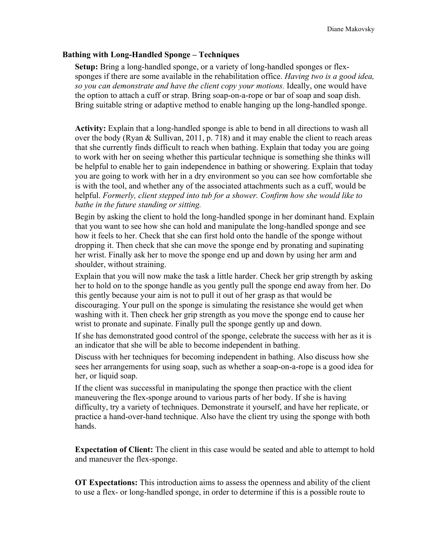#### **Bathing with Long-Handled Sponge – Techniques**

**Setup:** Bring a long-handled sponge, or a variety of long-handled sponges or flexsponges if there are some available in the rehabilitation office. *Having two is a good idea, so you can demonstrate and have the client copy your motions.* Ideally, one would have the option to attach a cuff or strap. Bring soap-on-a-rope or bar of soap and soap dish. Bring suitable string or adaptive method to enable hanging up the long-handled sponge.

**Activity:** Explain that a long-handled sponge is able to bend in all directions to wash all over the body (Ryan & Sullivan, 2011, p. 718) and it may enable the client to reach areas that she currently finds difficult to reach when bathing. Explain that today you are going to work with her on seeing whether this particular technique is something she thinks will be helpful to enable her to gain independence in bathing or showering. Explain that today you are going to work with her in a dry environment so you can see how comfortable she is with the tool, and whether any of the associated attachments such as a cuff, would be helpful. *Formerly, client stepped into tub for a shower. Confirm how she would like to bathe in the future standing or sitting.* 

Begin by asking the client to hold the long-handled sponge in her dominant hand. Explain that you want to see how she can hold and manipulate the long-handled sponge and see how it feels to her. Check that she can first hold onto the handle of the sponge without dropping it. Then check that she can move the sponge end by pronating and supinating her wrist. Finally ask her to move the sponge end up and down by using her arm and shoulder, without straining.

Explain that you will now make the task a little harder. Check her grip strength by asking her to hold on to the sponge handle as you gently pull the sponge end away from her. Do this gently because your aim is not to pull it out of her grasp as that would be discouraging. Your pull on the sponge is simulating the resistance she would get when washing with it. Then check her grip strength as you move the sponge end to cause her wrist to pronate and supinate. Finally pull the sponge gently up and down.

If she has demonstrated good control of the sponge, celebrate the success with her as it is an indicator that she will be able to become independent in bathing.

Discuss with her techniques for becoming independent in bathing. Also discuss how she sees her arrangements for using soap, such as whether a soap-on-a-rope is a good idea for her, or liquid soap.

If the client was successful in manipulating the sponge then practice with the client maneuvering the flex-sponge around to various parts of her body. If she is having difficulty, try a variety of techniques. Demonstrate it yourself, and have her replicate, or practice a hand-over-hand technique. Also have the client try using the sponge with both hands.

**Expectation of Client:** The client in this case would be seated and able to attempt to hold and maneuver the flex-sponge.

**OT Expectations:** This introduction aims to assess the openness and ability of the client to use a flex- or long-handled sponge, in order to determine if this is a possible route to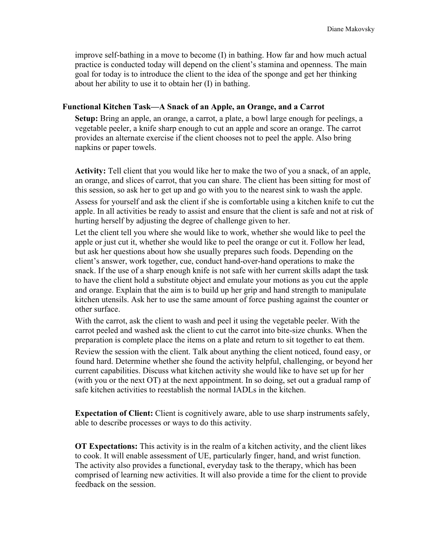improve self-bathing in a move to become (I) in bathing. How far and how much actual practice is conducted today will depend on the client's stamina and openness. The main goal for today is to introduce the client to the idea of the sponge and get her thinking about her ability to use it to obtain her (I) in bathing.

### **Functional Kitchen Task—A Snack of an Apple, an Orange, and a Carrot**

**Setup:** Bring an apple, an orange, a carrot, a plate, a bowl large enough for peelings, a vegetable peeler, a knife sharp enough to cut an apple and score an orange. The carrot provides an alternate exercise if the client chooses not to peel the apple. Also bring napkins or paper towels.

**Activity:** Tell client that you would like her to make the two of you a snack, of an apple, an orange, and slices of carrot, that you can share. The client has been sitting for most of this session, so ask her to get up and go with you to the nearest sink to wash the apple. Assess for yourself and ask the client if she is comfortable using a kitchen knife to cut the apple. In all activities be ready to assist and ensure that the client is safe and not at risk of hurting herself by adjusting the degree of challenge given to her.

Let the client tell you where she would like to work, whether she would like to peel the apple or just cut it, whether she would like to peel the orange or cut it. Follow her lead, but ask her questions about how she usually prepares such foods. Depending on the client's answer, work together, cue, conduct hand-over-hand operations to make the snack. If the use of a sharp enough knife is not safe with her current skills adapt the task to have the client hold a substitute object and emulate your motions as you cut the apple and orange. Explain that the aim is to build up her grip and hand strength to manipulate kitchen utensils. Ask her to use the same amount of force pushing against the counter or other surface.

With the carrot, ask the client to wash and peel it using the vegetable peeler. With the carrot peeled and washed ask the client to cut the carrot into bite-size chunks. When the preparation is complete place the items on a plate and return to sit together to eat them. Review the session with the client. Talk about anything the client noticed, found easy, or found hard. Determine whether she found the activity helpful, challenging, or beyond her current capabilities. Discuss what kitchen activity she would like to have set up for her (with you or the next OT) at the next appointment. In so doing, set out a gradual ramp of safe kitchen activities to reestablish the normal IADLs in the kitchen.

**Expectation of Client:** Client is cognitively aware, able to use sharp instruments safely, able to describe processes or ways to do this activity.

**OT Expectations:** This activity is in the realm of a kitchen activity, and the client likes to cook. It will enable assessment of UE, particularly finger, hand, and wrist function. The activity also provides a functional, everyday task to the therapy, which has been comprised of learning new activities. It will also provide a time for the client to provide feedback on the session.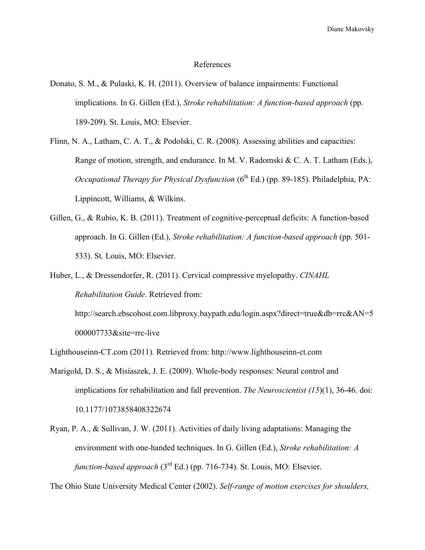Diane Makovsky

#### References

- Donato, S. M., & Pulaski, K. H. (2011). Overview of balance impairments: Functional implications. In G. Gillen (Ed.), *Stroke rehabilitation: A function-based approach* (pp. 189-209). St. Louis, MO: Elsevier.
- Flinn, N. A., Latham, C. A. T., & Podolski, C. R. (2008). Assessing abilities and capacities: Range of motion, strength, and endurance. In M. V. Radomski & C. A. T. Latham (Eds.), *Occupational Therapy for Physical Dysfunction* (6<sup>th</sup> Ed.) (pp. 89-185). Philadelphia, PA: Lippincott, Williams, & Wilkins.
- Gillen, G., & Rubio, K. B. (2011). Treatment of cognitive-perceptual deficits: A function-based approach. In G. Gillen (Ed.), *Stroke rehabilitation: A function-based approach* (pp. 501- 533). St. Louis, MO: Elsevier.
- Huber, L., & Dressendorfer, R. (2011). Cervical compressive myelopathy. *CINAHL Rehabilitation Guide*. Retrieved from:

http://search.ebscohost.com.libproxy.baypath.edu/login.aspx?direct=true&db=rrc&AN=5 000007733&site=rrc-live

Lighthouseinn-CT.com (2011). Retrieved from: http://www.lighthouseinn-ct.com

- Marigold, D. S., & Misiaszek, J. E. (2009). Whole-body responses: Neural control and implications for rehabilitation and fall prevention. *The Neuroscientist (15*)(1), 36-46. doi: 10.1177/1073858408322674
- Ryan, P. A., & Sullivan, J. W. (2011). Activities of daily living adaptations: Managing the environment with one-handed techniques. In G. Gillen (Ed.), *Stroke rehabilitation: A function-based approach* (3rd Ed.) (pp. 716-734). St. Louis, MO: Elsevier.

The Ohio State University Medical Center (2002). *Self-range of motion exercises for shoulders,*